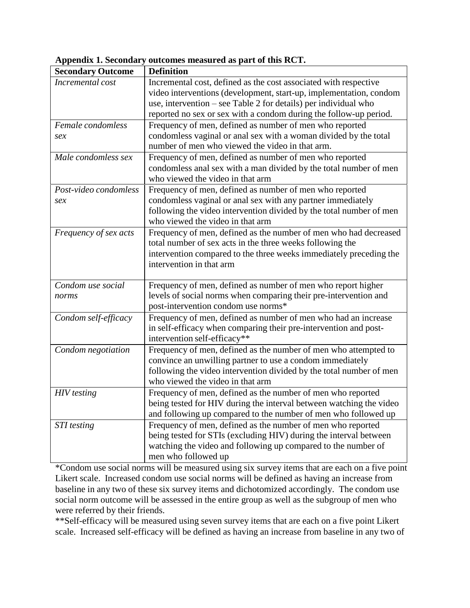| <b>Secondary Outcome</b>     | <b>Definition</b>                                                                                                                                                                                                                                                              |
|------------------------------|--------------------------------------------------------------------------------------------------------------------------------------------------------------------------------------------------------------------------------------------------------------------------------|
| Incremental cost             | Incremental cost, defined as the cost associated with respective<br>video interventions (development, start-up, implementation, condom<br>use, intervention – see Table 2 for details) per individual who<br>reported no sex or sex with a condom during the follow-up period. |
| Female condomless<br>sex     | Frequency of men, defined as number of men who reported<br>condomless vaginal or anal sex with a woman divided by the total<br>number of men who viewed the video in that arm.                                                                                                 |
| Male condomless sex          | Frequency of men, defined as number of men who reported<br>condomless anal sex with a man divided by the total number of men<br>who viewed the video in that arm                                                                                                               |
| Post-video condomless<br>sex | Frequency of men, defined as number of men who reported<br>condomless vaginal or anal sex with any partner immediately<br>following the video intervention divided by the total number of men<br>who viewed the video in that arm                                              |
| Frequency of sex acts        | Frequency of men, defined as the number of men who had decreased<br>total number of sex acts in the three weeks following the<br>intervention compared to the three weeks immediately preceding the<br>intervention in that arm                                                |
| Condom use social<br>norms   | Frequency of men, defined as number of men who report higher<br>levels of social norms when comparing their pre-intervention and<br>post-intervention condom use norms*                                                                                                        |
| Condom self-efficacy         | Frequency of men, defined as number of men who had an increase<br>in self-efficacy when comparing their pre-intervention and post-<br>intervention self-efficacy**                                                                                                             |
| Condom negotiation           | Frequency of men, defined as the number of men who attempted to<br>convince an unwilling partner to use a condom immediately<br>following the video intervention divided by the total number of men<br>who viewed the video in that arm                                        |
| <b>HIV</b> testing           | Frequency of men, defined as the number of men who reported<br>being tested for HIV during the interval between watching the video<br>and following up compared to the number of men who followed up                                                                           |
| <b>STI</b> testing           | Frequency of men, defined as the number of men who reported<br>being tested for STIs (excluding HIV) during the interval between<br>watching the video and following up compared to the number of<br>men who followed up                                                       |

**Appendix 1. Secondary outcomes measured as part of this RCT.**

\*Condom use social norms will be measured using six survey items that are each on a five point Likert scale. Increased condom use social norms will be defined as having an increase from baseline in any two of these six survey items and dichotomized accordingly. The condom use social norm outcome will be assessed in the entire group as well as the subgroup of men who were referred by their friends.

\*\*Self-efficacy will be measured using seven survey items that are each on a five point Likert scale. Increased self-efficacy will be defined as having an increase from baseline in any two of